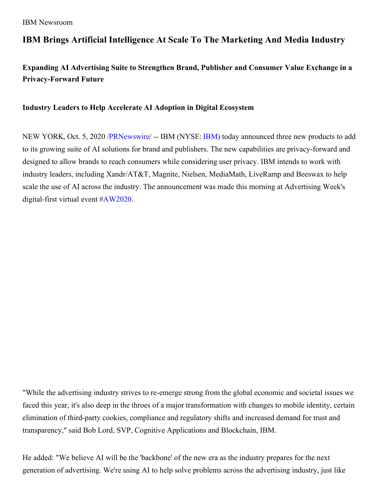## **IBM Brings Artificial Intelligence At Scale To The Marketing And Media Industry**

**Expanding AI Advertising Suite to Strengthen Brand, Publisher and Consumer Value Exchange in a Privacy-Forward Future**

## **Industry Leaders to Help Accelerate AI Adoption in Digital Ecosystem**

NEW YORK, Oct. 5, 2020 [/PRNewswire/](http://www.prnewswire.com/) -- IBM (NYSE: [IBM](https://c212.net/c/link/?t=0&l=en&o=2939533-1&h=1732405095&u=https%3A%2F%2Fwww.ibm.com%2Finvestor&a=IBM)) today announced three new products to add to its growing suite of AI solutions for brand and publishers. The new capabilities are privacy-forward and designed to allow brands to reach consumers while considering user privacy. IBM intends to work with industry leaders, including Xandr/AT&T, Magnite, Nielsen, MediaMath, LiveRamp and Beeswax to help scale the use of AI across the industry. The announcement was made this morning at Advertising Week's digital-first virtual event [#AW2020](https://c212.net/c/link/?t=0&l=en&o=2939533-1&h=400117375&u=https%3A%2F%2Flive.advertisingweek.com%2F&a=AW2020).

"While the advertising industry strives to re-emerge strong from the global economic and societal issues we faced this year, it's also deep in the throes of a major transformation with changes to mobile identity, certain elimination of third-party cookies, compliance and regulatory shifts and increased demand for trust and transparency," said Bob Lord, SVP, Cognitive Applications and Blockchain, IBM.

He added: "We believe AI will be the 'backbone' of the new era as the industry prepares for the next generation of advertising. We're using AI to help solve problems across the advertising industry, just like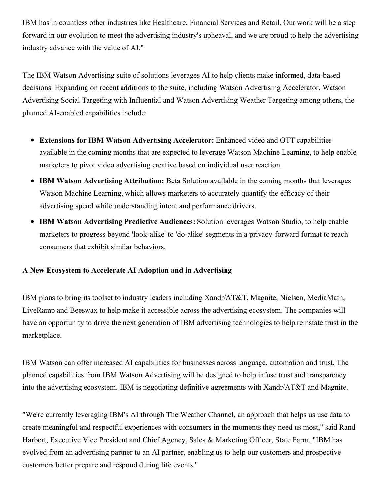IBM has in countless other industries like Healthcare, Financial Services and Retail. Our work will be a step forward in our evolution to meet the advertising industry's upheaval, and we are proud to help the advertising industry advance with the value of AI."

The IBM Watson Advertising suite of solutions leverages AI to help clients make informed, data-based decisions. Expanding on recent additions to the suite, including Watson Advertising Accelerator, Watson Advertising Social Targeting with Influential and Watson Advertising Weather Targeting among others, the planned AI-enabled capabilities include:

- **Extensions for IBM Watson Advertising Accelerator:** Enhanced video and OTT capabilities available in the coming months that are expected to leverage Watson Machine Learning, to help enable marketers to pivot video advertising creative based on individual user reaction.
- **IBM Watson Advertising Attribution:** Beta Solution available in the coming months that leverages Watson Machine Learning, which allows marketers to accurately quantify the efficacy of their advertising spend while understanding intent and performance drivers.
- **IBM Watson Advertising Predictive Audiences:** Solution leverages Watson Studio, to help enable marketers to progress beyond 'look-alike' to 'do-alike' segments in a privacy-forward format to reach consumers that exhibit similar behaviors.

## **A New Ecosystem to Accelerate AI Adoption and in Advertising**

IBM plans to bring its toolset to industry leaders including Xandr/AT&T, Magnite, Nielsen, MediaMath, LiveRamp and Beeswax to help make it accessible across the advertising ecosystem. The companies will have an opportunity to drive the next generation of IBM advertising technologies to help reinstate trust in the marketplace.

IBM Watson can offer increased AI capabilities for businesses across language, automation and trust. The planned capabilities from IBM Watson Advertising will be designed to help infuse trust and transparency into the advertising ecosystem. IBM is negotiating definitive agreements with Xandr/AT&T and Magnite.

"We're currently leveraging IBM's AI through The Weather Channel, an approach that helps us use data to create meaningful and respectful experiences with consumers in the moments they need us most," said Rand Harbert, Executive Vice President and Chief Agency, Sales & Marketing Officer, State Farm. "IBM has evolved from an advertising partner to an AI partner, enabling us to help our customers and prospective customers better prepare and respond during life events."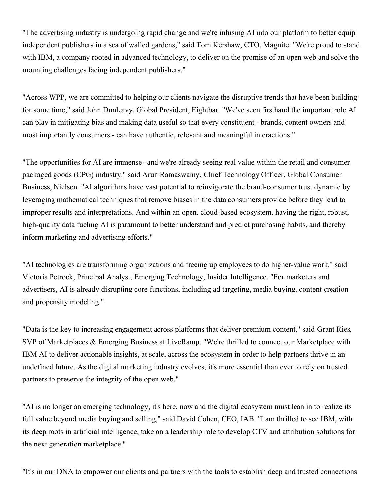"The advertising industry is undergoing rapid change and we're infusing AI into our platform to better equip independent publishers in a sea of walled gardens," said Tom Kershaw, CTO, Magnite. "We're proud to stand with IBM, a company rooted in advanced technology, to deliver on the promise of an open web and solve the mounting challenges facing independent publishers."

"Across WPP, we are committed to helping our clients navigate the disruptive trends that have been building for some time," said John Dunleavy, Global President, Eightbar. "We've seen firsthand the important role AI can play in mitigating bias and making data useful so that every constituent - brands, content owners and most importantly consumers - can have authentic, relevant and meaningful interactions."

"The opportunities for AI are immense--and we're already seeing real value within the retail and consumer packaged goods (CPG) industry," said Arun Ramaswamy, Chief Technology Officer, Global Consumer Business, Nielsen. "AI algorithms have vast potential to reinvigorate the brand-consumer trust dynamic by leveraging mathematical techniques that remove biases in the data consumers provide before they lead to improper results and interpretations. And within an open, cloud-based ecosystem, having the right, robust, high-quality data fueling AI is paramount to better understand and predict purchasing habits, and thereby inform marketing and advertising efforts."

"AI technologies are transforming organizations and freeing up employees to do higher-value work," said Victoria Petrock, Principal Analyst, Emerging Technology, Insider Intelligence. "For marketers and advertisers, AI is already disrupting core functions, including ad targeting, media buying, content creation and propensity modeling."

"Data is the key to increasing engagement across platforms that deliver premium content," said Grant Ries, SVP of Marketplaces & Emerging Business at LiveRamp. "We're thrilled to connect our Marketplace with IBM AI to deliver actionable insights, at scale, across the ecosystem in order to help partners thrive in an undefined future. As the digital marketing industry evolves, it's more essential than ever to rely on trusted partners to preserve the integrity of the open web."

"AI is no longer an emerging technology, it's here, now and the digital ecosystem must lean in to realize its full value beyond media buying and selling," said David Cohen, CEO, IAB. "I am thrilled to see IBM, with its deep roots in artificial intelligence, take on a leadership role to develop CTV and attribution solutions for the next generation marketplace."

"It's in our DNA to empower our clients and partners with the tools to establish deep and trusted connections